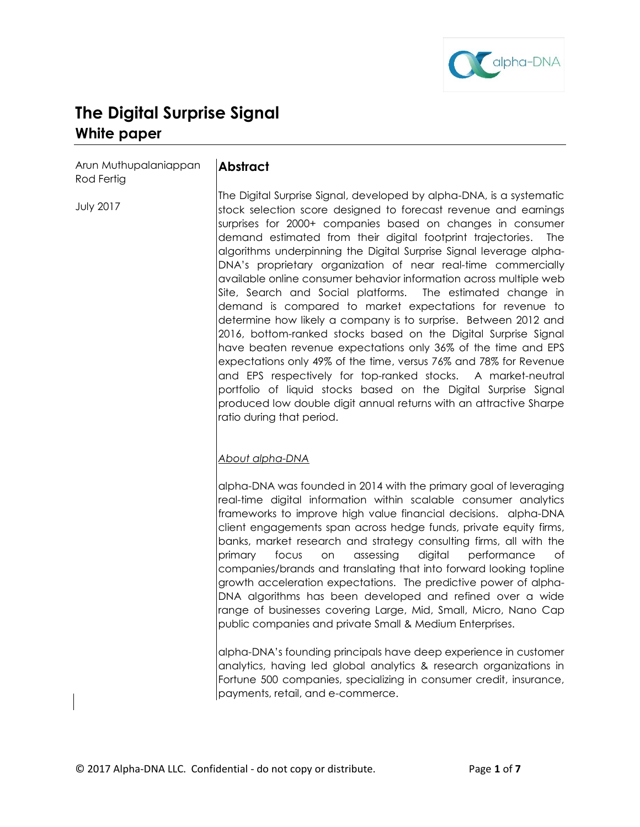

# **The Digital Surprise Signal White paper**

Arun Muthupalaniappan Rod Fertig

# **Abstract**

The Digital Surprise Signal, developed by alpha-DNA, is a systematic stock selection score designed to forecast revenue and earnings surprises for 2000+ companies based on changes in consumer demand estimated from their digital footprint trajectories. The algorithms underpinning the Digital Surprise Signal leverage alpha-DNA's proprietary organization of near real-time commercially available online consumer behavior information across multiple web Site, Search and Social platforms. The estimated change in demand is compared to market expectations for revenue to determine how likely a company is to surprise. Between 2012 and 2016, bottom-ranked stocks based on the Digital Surprise Signal have beaten revenue expectations only 36% of the time and EPS expectations only 49% of the time, versus 76% and 78% for Revenue and EPS respectively for top-ranked stocks. A market-neutral portfolio of liquid stocks based on the Digital Surprise Signal produced low double digit annual returns with an attractive Sharpe ratio during that period.

## *About alpha-DNA*

alpha-DNA was founded in 2014 with the primary goal of leveraging real-time digital information within scalable consumer analytics frameworks to improve high value financial decisions. alpha-DNA client engagements span across hedge funds, private equity firms, banks, market research and strategy consulting firms, all with the primary focus on assessing digital performance of companies/brands and translating that into forward looking topline growth acceleration expectations. The predictive power of alpha-DNA algorithms has been developed and refined over a wide range of businesses covering Large, Mid, Small, Micro, Nano Cap public companies and private Small & Medium Enterprises.

alpha-DNA's founding principals have deep experience in customer analytics, having led global analytics & research organizations in Fortune 500 companies, specializing in consumer credit, insurance, payments, retail, and e-commerce.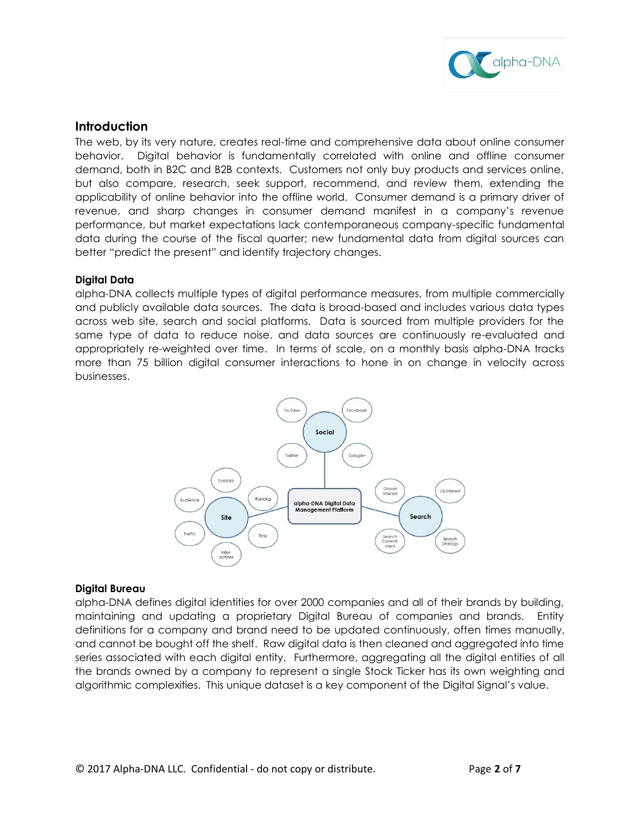

## **Introduction**

The web, by its very nature, creates real-time and comprehensive data about online consumer behavior. Digital behavior is fundamentally correlated with online and offline consumer demand, both in B2C and B2B contexts. Customers not only buy products and services online, but also compare, research, seek support, recommend, and review them, extending the applicability of online behavior into the offline world. Consumer demand is a primary driver of revenue, and sharp changes in consumer demand manifest in a company's revenue performance, but market expectations lack contemporaneous company-specific fundamental data during the course of the fiscal quarter; new fundamental data from digital sources can better "predict the present" and identify trajectory changes.

## **Digital Data**

alpha-DNA collects multiple types of digital performance measures, from multiple commercially and publicly available data sources. The data is broad-based and includes various data types across web site, search and social platforms. Data is sourced from multiple providers for the same type of data to reduce noise, and data sources are continuously re-evaluated and appropriately re-weighted over time. In terms of scale, on a monthly basis alpha-DNA tracks more than 75 billion digital consumer interactions to hone in on change in velocity across businesses.



## **Digital Bureau**

alpha-DNA defines digital identities for over 2000 companies and all of their brands by building, maintaining and updating a proprietary Digital Bureau of companies and brands. Entity definitions for a company and brand need to be updated continuously, often times manually, and cannot be bought off the shelf. Raw digital data is then cleaned and aggregated into time series associated with each digital entity. Furthermore, aggregating all the digital entities of all the brands owned by a company to represent a single Stock Ticker has its own weighting and algorithmic complexities. This unique dataset is a key component of the Digital Signal's value.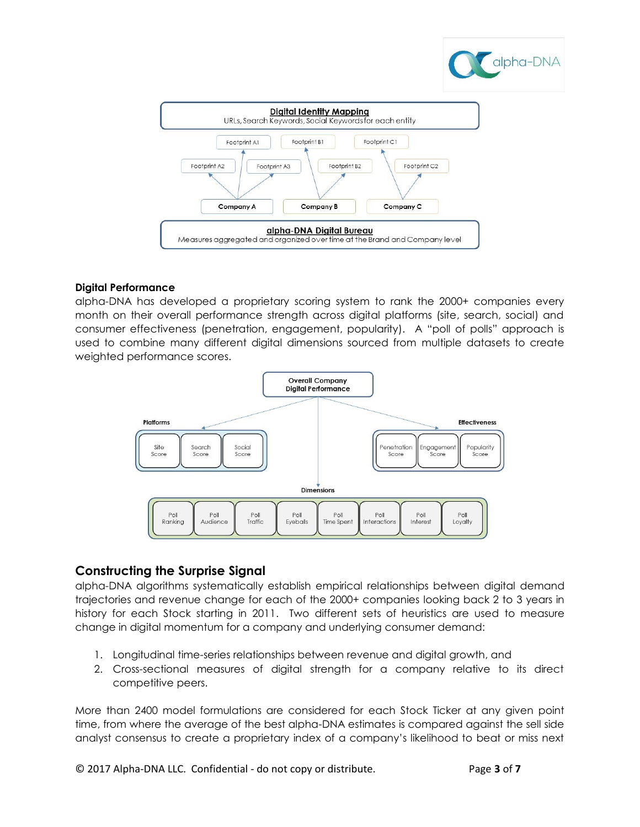



## **Digital Performance**

alpha-DNA has developed a proprietary scoring system to rank the 2000+ companies every month on their overall performance strength across digital platforms (site, search, social) and consumer effectiveness (penetration, engagement, popularity). A "poll of polls" approach is used to combine many different digital dimensions sourced from multiple datasets to create weighted performance scores.



## **Constructing the Surprise Signal**

alpha-DNA algorithms systematically establish empirical relationships between digital demand trajectories and revenue change for each of the 2000+ companies looking back 2 to 3 years in history for each Stock starting in 2011. Two different sets of heuristics are used to measure change in digital momentum for a company and underlying consumer demand:

- 1. Longitudinal time-series relationships between revenue and digital growth, and
- 2. Cross-sectional measures of digital strength for a company relative to its direct competitive peers.

More than 2400 model formulations are considered for each Stock Ticker at any given point time, from where the average of the best alpha-DNA estimates is compared against the sell side analyst consensus to create a proprietary index of a company's likelihood to beat or miss next

© 2017 Alpha-DNA LLC. Confidential - do not copy or distribute. Page **3** of **7**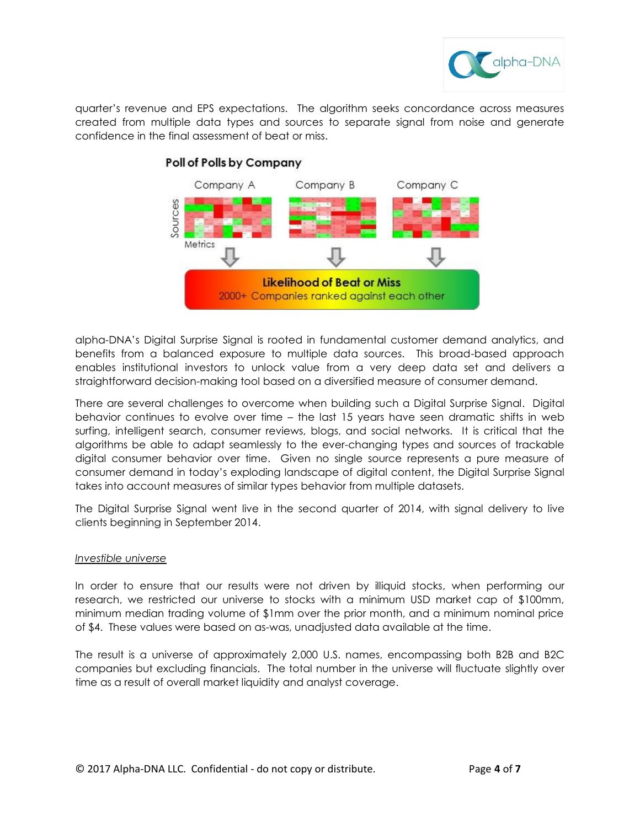

quarter's revenue and EPS expectations. The algorithm seeks concordance across measures created from multiple data types and sources to separate signal from noise and generate confidence in the final assessment of beat or miss.



# Poll of Polls by Company

alpha-DNA's Digital Surprise Signal is rooted in fundamental customer demand analytics, and benefits from a balanced exposure to multiple data sources. This broad-based approach enables institutional investors to unlock value from a very deep data set and delivers a straightforward decision-making tool based on a diversified measure of consumer demand.

There are several challenges to overcome when building such a Digital Surprise Signal. Digital behavior continues to evolve over time – the last 15 years have seen dramatic shifts in web surfing, intelligent search, consumer reviews, blogs, and social networks. It is critical that the algorithms be able to adapt seamlessly to the ever-changing types and sources of trackable digital consumer behavior over time. Given no single source represents a pure measure of consumer demand in today's exploding landscape of digital content, the Digital Surprise Signal takes into account measures of similar types behavior from multiple datasets.

The Digital Surprise Signal went live in the second quarter of 2014, with signal delivery to live clients beginning in September 2014.

## *Investible universe*

In order to ensure that our results were not driven by illiquid stocks, when performing our research, we restricted our universe to stocks with a minimum USD market cap of \$100mm, minimum median trading volume of \$1mm over the prior month, and a minimum nominal price of \$4. These values were based on as-was, unadjusted data available at the time.

The result is a universe of approximately 2,000 U.S. names, encompassing both B2B and B2C companies but excluding financials. The total number in the universe will fluctuate slightly over time as a result of overall market liquidity and analyst coverage.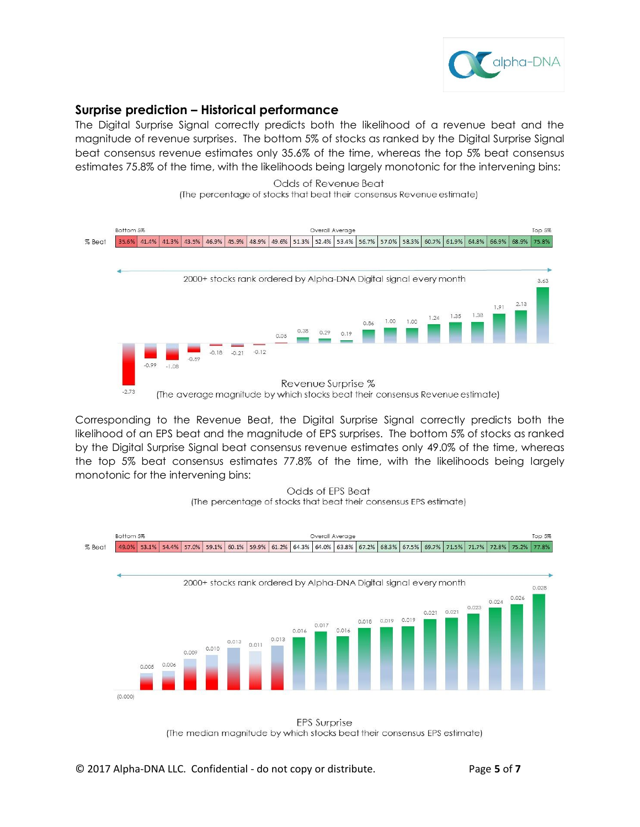

# **Surprise prediction – Historical performance**

The Digital Surprise Signal correctly predicts both the likelihood of a revenue beat and the magnitude of revenue surprises. The bottom 5% of stocks as ranked by the Digital Surprise Signal beat consensus revenue estimates only 35.6% of the time, whereas the top 5% beat consensus estimates 75.8% of the time, with the likelihoods being largely monotonic for the intervening bins:





Corresponding to the Revenue Beat, the Digital Surprise Signal correctly predicts both the likelihood of an EPS beat and the magnitude of EPS surprises. The bottom 5% of stocks as ranked by the Digital Surprise Signal beat consensus revenue estimates only 49.0% of the time, whereas the top 5% beat consensus estimates 77.8% of the time, with the likelihoods being largely monotonic for the intervening bins:





(The median magnitude by which stocks beat their consensus EPS estimate)

© 2017 Alpha-DNA LLC. Confidential - do not copy or distribute. Page **5** of **7**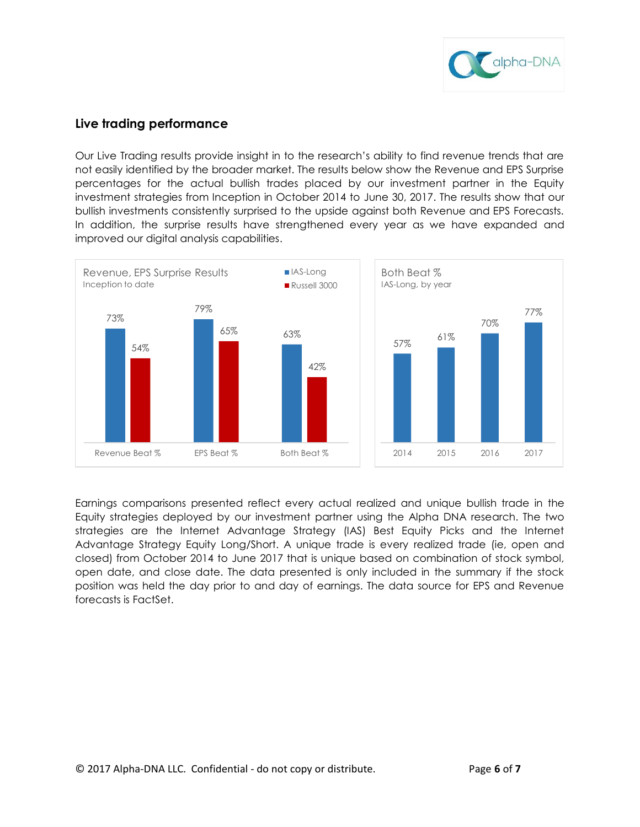

## **Live trading performance**

Our Live Trading results provide insight in to the research's ability to find revenue trends that are not easily identified by the broader market. The results below show the Revenue and EPS Surprise percentages for the actual bullish trades placed by our investment partner in the Equity investment strategies from Inception in October 2014 to June 30, 2017. The results show that our bullish investments consistently surprised to the upside against both Revenue and EPS Forecasts. In addition, the surprise results have strengthened every year as we have expanded and improved our digital analysis capabilities.



Earnings comparisons presented reflect every actual realized and unique bullish trade in the Equity strategies deployed by our investment partner using the Alpha DNA research. The two strategies are the Internet Advantage Strategy (IAS) Best Equity Picks and the Internet Advantage Strategy Equity Long/Short. A unique trade is every realized trade (ie, open and closed) from October 2014 to June 2017 that is unique based on combination of stock symbol, open date, and close date. The data presented is only included in the summary if the stock position was held the day prior to and day of earnings. The data source for EPS and Revenue forecasts is FactSet.